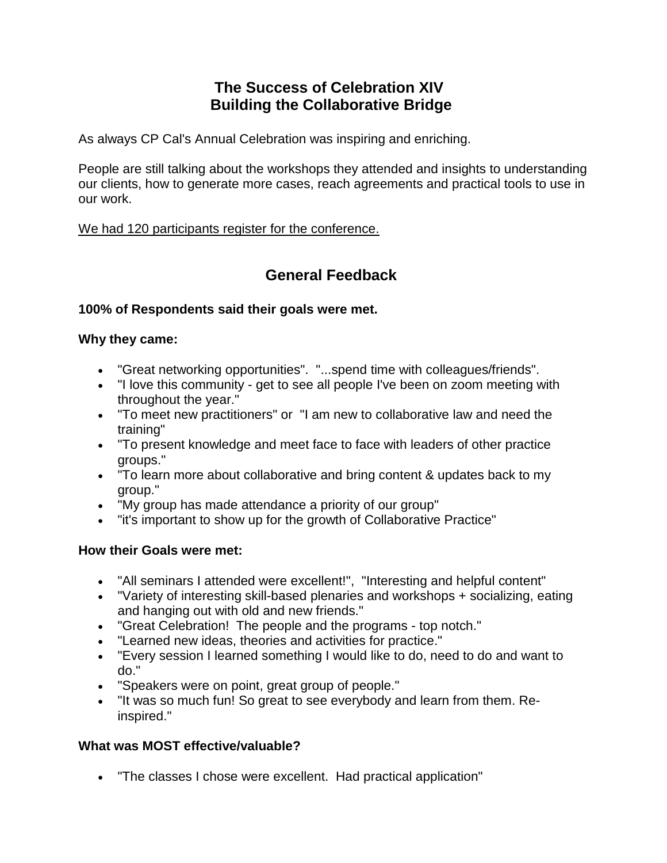# **The Success of Celebration XIV Building the Collaborative Bridge**

As always CP Cal's Annual Celebration was inspiring and enriching.

People are still talking about the workshops they attended and insights to understanding our clients, how to generate more cases, reach agreements and practical tools to use in our work.

We had 120 participants register for the conference.

# **General Feedback**

### **100% of Respondents said their goals were met.**

### **Why they came:**

- "Great networking opportunities". "...spend time with colleagues/friends".
- "I love this community get to see all people I've been on zoom meeting with throughout the year."
- "To meet new practitioners" or "I am new to collaborative law and need the training"
- "To present knowledge and meet face to face with leaders of other practice groups."
- "To learn more about collaborative and bring content & updates back to my group."
- "My group has made attendance a priority of our group"
- "it's important to show up for the growth of Collaborative Practice"

# **How their Goals were met:**

- "All seminars I attended were excellent!", "Interesting and helpful content"
- "Variety of interesting skill-based plenaries and workshops + socializing, eating and hanging out with old and new friends."
- "Great Celebration! The people and the programs top notch."
- "Learned new ideas, theories and activities for practice."
- "Every session I learned something I would like to do, need to do and want to do."
- "Speakers were on point, great group of people."
- "It was so much fun! So great to see everybody and learn from them. Reinspired."

# **What was MOST effective/valuable?**

• "The classes I chose were excellent. Had practical application"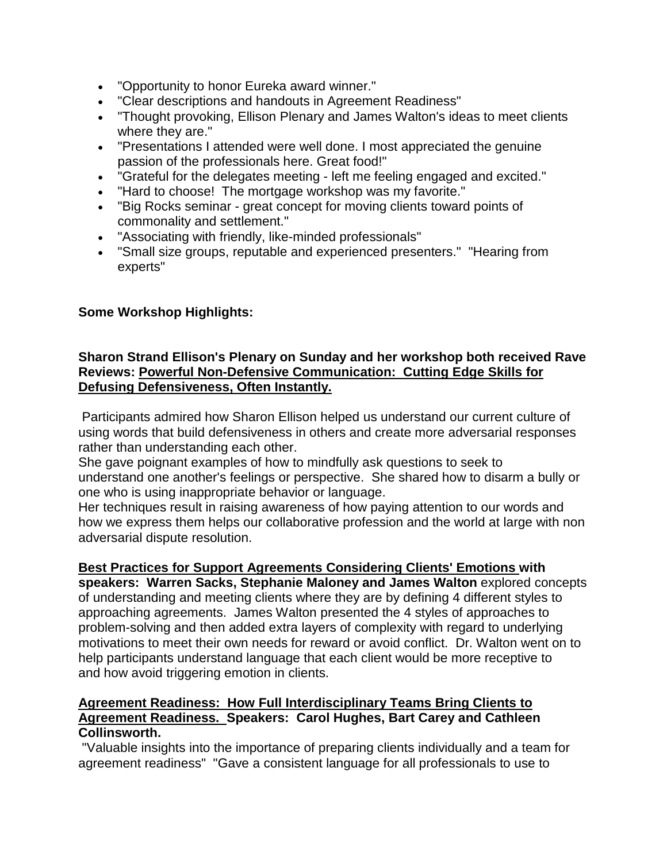- "Opportunity to honor Eureka award winner."
- "Clear descriptions and handouts in Agreement Readiness"
- "Thought provoking, Ellison Plenary and James Walton's ideas to meet clients where they are."
- "Presentations I attended were well done. I most appreciated the genuine passion of the professionals here. Great food!"
- "Grateful for the delegates meeting left me feeling engaged and excited."
- "Hard to choose! The mortgage workshop was my favorite."
- "Big Rocks seminar great concept for moving clients toward points of commonality and settlement."
- "Associating with friendly, like-minded professionals"
- "Small size groups, reputable and experienced presenters." "Hearing from experts"

# **Some Workshop Highlights:**

### **Sharon Strand Ellison's Plenary on Sunday and her workshop both received Rave Reviews: Powerful Non-Defensive Communication: Cutting Edge Skills for Defusing Defensiveness, Often Instantly.**

Participants admired how Sharon Ellison helped us understand our current culture of using words that build defensiveness in others and create more adversarial responses rather than understanding each other.

She gave poignant examples of how to mindfully ask questions to seek to understand one another's feelings or perspective. She shared how to disarm a bully or one who is using inappropriate behavior or language.

Her techniques result in raising awareness of how paying attention to our words and how we express them helps our collaborative profession and the world at large with non adversarial dispute resolution.

#### **Best Practices for Support Agreements Considering Clients' Emotions with**

**speakers: Warren Sacks, Stephanie Maloney and James Walton** explored concepts of understanding and meeting clients where they are by defining 4 different styles to approaching agreements. James Walton presented the 4 styles of approaches to problem-solving and then added extra layers of complexity with regard to underlying motivations to meet their own needs for reward or avoid conflict. Dr. Walton went on to help participants understand language that each client would be more receptive to and how avoid triggering emotion in clients.

#### **Agreement Readiness: How Full Interdisciplinary Teams Bring Clients to Agreement Readiness. Speakers: Carol Hughes, Bart Carey and Cathleen Collinsworth.**

"Valuable insights into the importance of preparing clients individually and a team for agreement readiness" "Gave a consistent language for all professionals to use to